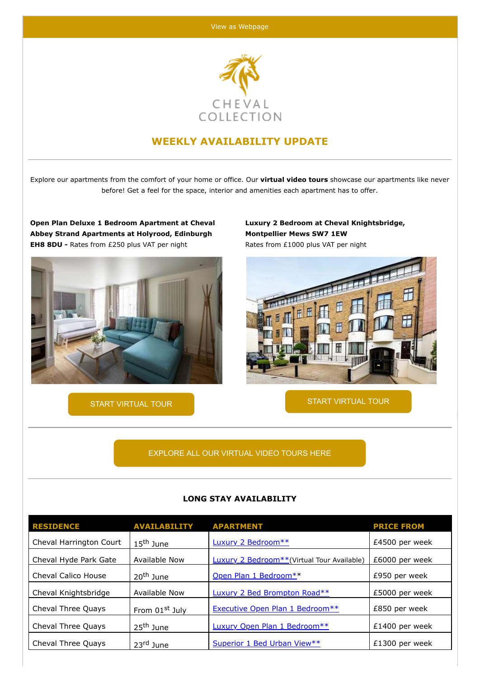

## **WEEKLY AVAILABILITY UPDATE**

Explore our apartments from the comfort of your home or office. Our **virtual video tours** showcase our apartments like never before! Get a feel for the space, interior and amenities each apartment has to offer.

**Open Plan Deluxe 1 Bedroom Apartment at Cheval Abbey Strand Apartments at Holyrood, Edinburgh EH8 8DU -** Rates from £250 plus VAT per night



**Luxury 2 Bedroom at Cheval Knightsbridge, Montpellier Mews SW7 1EW** Rates from £1000 plus VAT per night



[START VIRTUAL TOUR](https://my.matterport.com/show/?m=UNoe532A8LT&utm_campaign=Weekly%20Availability%20List%20-%2007.06.2022&utm_medium=email&utm_source=CMA_CHEVAL%20COLLECTION%20LIMITED&utm_content=) EXAMPLE TO START VIRTUAL TOUR

[EXPLORE ALL OUR VIRTUAL VIDEO TOURS HERE](http://www.chevalcollection.com/virtual-video-tours/?utm_campaign=Weekly%20Availability%20List%20-%2007.06.2022&utm_medium=email&utm_source=CMA_CHEVAL%20COLLECTION%20LIMITED&utm_content=)

| <b>RESIDENCE</b>        | <b>AVAILABILITY</b>   | <b>APARTMENT</b>                                        | <b>PRICE FROM</b> |
|-------------------------|-----------------------|---------------------------------------------------------|-------------------|
| Cheval Harrington Court | 15 <sup>th</sup> June | Luxury 2 Bedroom**                                      | £4500 per week    |
| Cheval Hyde Park Gate   | Available Now         | Luxury 2 Bedroom <sup>**</sup> (Virtual Tour Available) | £6000 per week    |
| Cheval Calico House     | 20 <sup>th</sup> June | Open Plan 1 Bedroom**                                   | £950 per week     |
| Cheval Knightsbridge    | Available Now         | Luxury 2 Bed Brompton Road**                            | £5000 per week    |
| Cheval Three Quays      | From 01st July        | Executive Open Plan 1 Bedroom**                         | £850 per week     |
| Cheval Three Quays      | 25 <sup>th</sup> June | Luxury Open Plan 1 Bedroom**                            | $£1400$ per week  |
| Cheval Three Quays      | 23rd June             | Superior 1 Bed Urban View**                             | $£1300$ per week  |

## **LONG STAY AVAILABILITY**